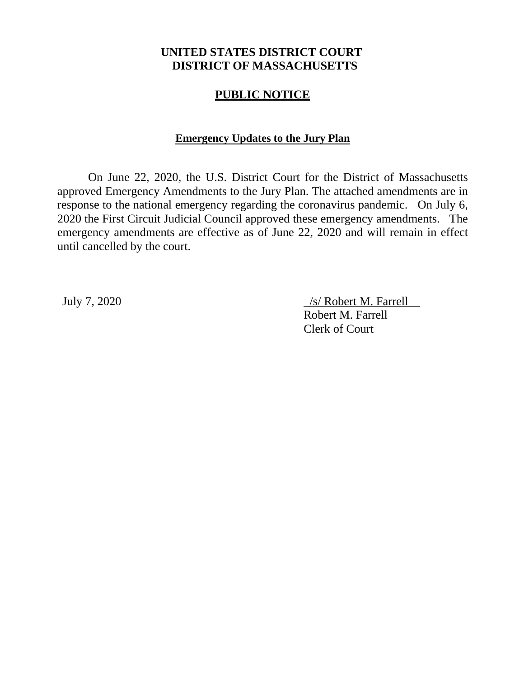# **UNITED STATES DISTRICT COURT DISTRICT OF MASSACHUSETTS**

## **PUBLIC NOTICE**

### **Emergency Updates to the Jury Plan**

On June 22, 2020, the U.S. District Court for the District of Massachusetts approved Emergency Amendments to the Jury Plan. The attached amendments are in response to the national emergency regarding the coronavirus pandemic. On July 6, 2020 the First Circuit Judicial Council approved these emergency amendments. The emergency amendments are effective as of June 22, 2020 and will remain in effect until cancelled by the court.

July 7, 2020 /s/ Robert M. Farrell Robert M. Farrell Clerk of Court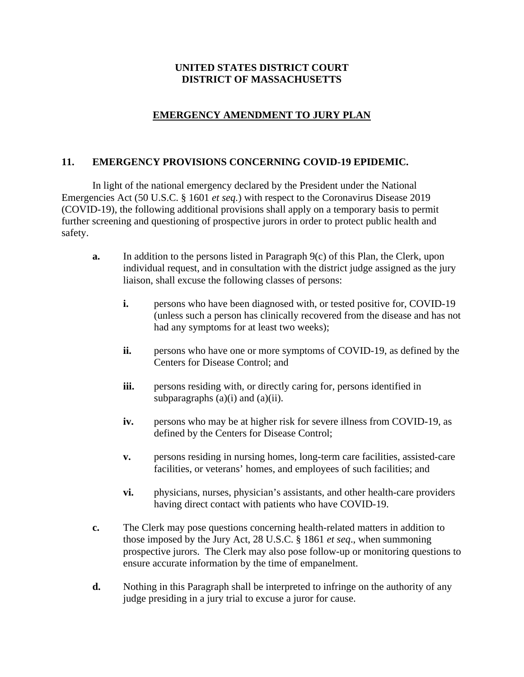#### **UNITED STATES DISTRICT COURT DISTRICT OF MASSACHUSETTS**

## **EMERGENCY AMENDMENT TO JURY PLAN**

#### **11. EMERGENCY PROVISIONS CONCERNING COVID-19 EPIDEMIC.**

In light of the national emergency declared by the President under the National Emergencies Act (50 U.S.C. § 1601 *et seq.*) with respect to the Coronavirus Disease 2019 (COVID-19), the following additional provisions shall apply on a temporary basis to permit further screening and questioning of prospective jurors in order to protect public health and safety.

- **a.** In addition to the persons listed in Paragraph 9(c) of this Plan, the Clerk, upon individual request, and in consultation with the district judge assigned as the jury liaison, shall excuse the following classes of persons:
	- **i.** persons who have been diagnosed with, or tested positive for, COVID-19 (unless such a person has clinically recovered from the disease and has not had any symptoms for at least two weeks);
	- **ii.** persons who have one or more symptoms of COVID-19, as defined by the Centers for Disease Control; and
	- **iii.** persons residing with, or directly caring for, persons identified in subparagraphs  $(a)(i)$  and  $(a)(ii)$ .
	- **iv.** persons who may be at higher risk for severe illness from COVID-19, as defined by the Centers for Disease Control;
	- **v.** persons residing in nursing homes, long-term care facilities, assisted-care facilities, or veterans' homes, and employees of such facilities; and
	- **vi.** physicians, nurses, physician's assistants, and other health-care providers having direct contact with patients who have COVID-19.
- **c.** The Clerk may pose questions concerning health-related matters in addition to those imposed by the Jury Act, 28 U.S.C. § 1861 *et seq*., when summoning prospective jurors. The Clerk may also pose follow-up or monitoring questions to ensure accurate information by the time of empanelment.
- **d.** Nothing in this Paragraph shall be interpreted to infringe on the authority of any judge presiding in a jury trial to excuse a juror for cause.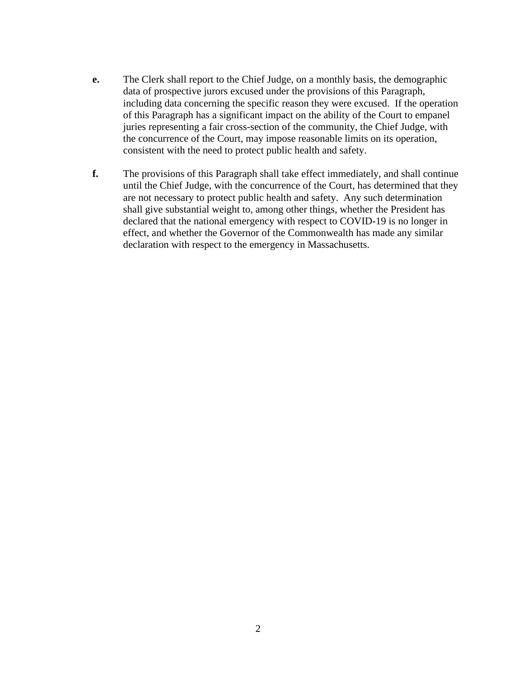- **e.** The Clerk shall report to the Chief Judge, on a monthly basis, the demographic data of prospective jurors excused under the provisions of this Paragraph, including data concerning the specific reason they were excused. If the operation of this Paragraph has a significant impact on the ability of the Court to empanel juries representing a fair cross-section of the community, the Chief Judge, with the concurrence of the Court, may impose reasonable limits on its operation, consistent with the need to protect public health and safety.
- **f.** The provisions of this Paragraph shall take effect immediately, and shall continue until the Chief Judge, with the concurrence of the Court, has determined that they are not necessary to protect public health and safety. Any such determination shall give substantial weight to, among other things, whether the President has declared that the national emergency with respect to COVID-19 is no longer in effect, and whether the Governor of the Commonwealth has made any similar declaration with respect to the emergency in Massachusetts.